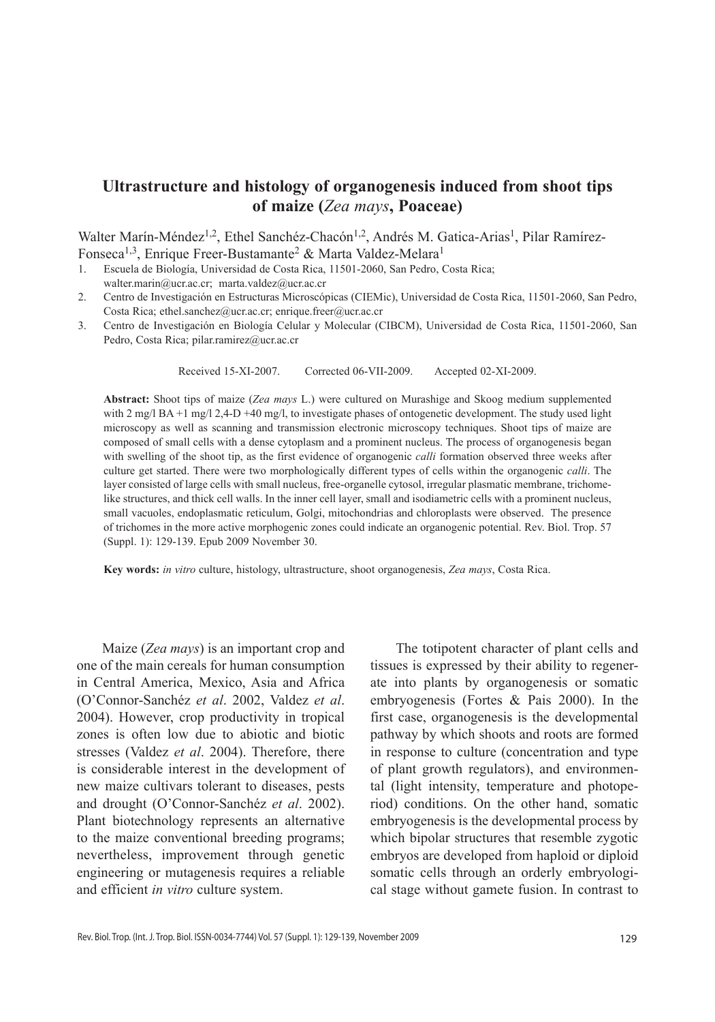# **Ultrastructure and histology of organogenesis induced from shoot tips of maize (***Zea mays***, Poaceae)**

Walter Marín-Méndez<sup>1,2</sup>, Ethel Sanchéz-Chacón<sup>1,2</sup>, Andrés M. Gatica-Arias<sup>1</sup>, Pilar Ramírez-Fonseca<sup>1,3</sup>, Enrique Freer-Bustamante<sup>2</sup> & Marta Valdez-Melara<sup>1</sup>

1. Escuela de Biología, Universidad de Costa Rica, 11501-2060, San Pedro, Costa Rica; walter.marin@ucr.ac.cr; marta.valdez@ucr.ac.cr

- 2. Centro de Investigación en Estructuras Microscópicas (CIEMic), Universidad de Costa Rica, 11501-2060, San Pedro, Costa Rica; ethel.sanchez@ucr.ac.cr; enrique.freer@ucr.ac.cr
- 3. Centro de Investigación en Biología Celular y Molecular (CIBCM), Universidad de Costa Rica, 11501-2060, San Pedro, Costa Rica; pilar.ramirez@ucr.ac.cr

Received 15-XI-2007. Corrected 06-VII-2009. Accepted 02-XI-2009.

**Abstract:** Shoot tips of maize (*Zea mays* L.) were cultured on Murashige and Skoog medium supplemented with 2 mg/l BA +1 mg/l 2,4-D +40 mg/l, to investigate phases of ontogenetic development. The study used light microscopy as well as scanning and transmission electronic microscopy techniques. Shoot tips of maize are composed of small cells with a dense cytoplasm and a prominent nucleus. The process of organogenesis began with swelling of the shoot tip, as the first evidence of organogenic *calli* formation observed three weeks after culture get started. There were two morphologically different types of cells within the organogenic *calli*. The layer consisted of large cells with small nucleus, free-organelle cytosol, irregular plasmatic membrane, trichomelike structures, and thick cell walls. In the inner cell layer, small and isodiametric cells with a prominent nucleus, small vacuoles, endoplasmatic reticulum, Golgi, mitochondrias and chloroplasts were observed. The presence of trichomes in the more active morphogenic zones could indicate an organogenic potential. Rev. Biol. Trop. 57 (Suppl. 1): 129-139. Epub 2009 November 30.

**Key words:** *in vitro* culture, histology, ultrastructure, shoot organogenesis, *Zea mays*, Costa Rica.

Maize (*Zea mays*) is an important crop and one of the main cereals for human consumption in Central America, Mexico, Asia and Africa (O'Connor-Sanchéz *et al*. 2002, Valdez *et al*. 2004). However, crop productivity in tropical zones is often low due to abiotic and biotic stresses (Valdez *et al*. 2004). Therefore, there is considerable interest in the development of new maize cultivars tolerant to diseases, pests and drought (O'Connor-Sanchéz *et al*. 2002). Plant biotechnology represents an alternative to the maize conventional breeding programs; nevertheless, improvement through genetic engineering or mutagenesis requires a reliable and efficient *in vitro* culture system.

The totipotent character of plant cells and tissues is expressed by their ability to regenerate into plants by organogenesis or somatic embryogenesis (Fortes & Pais 2000). In the first case, organogenesis is the developmental pathway by which shoots and roots are formed in response to culture (concentration and type of plant growth regulators), and environmental (light intensity, temperature and photoperiod) conditions. On the other hand, somatic embryogenesis is the developmental process by which bipolar structures that resemble zygotic embryos are developed from haploid or diploid somatic cells through an orderly embryological stage without gamete fusion. In contrast to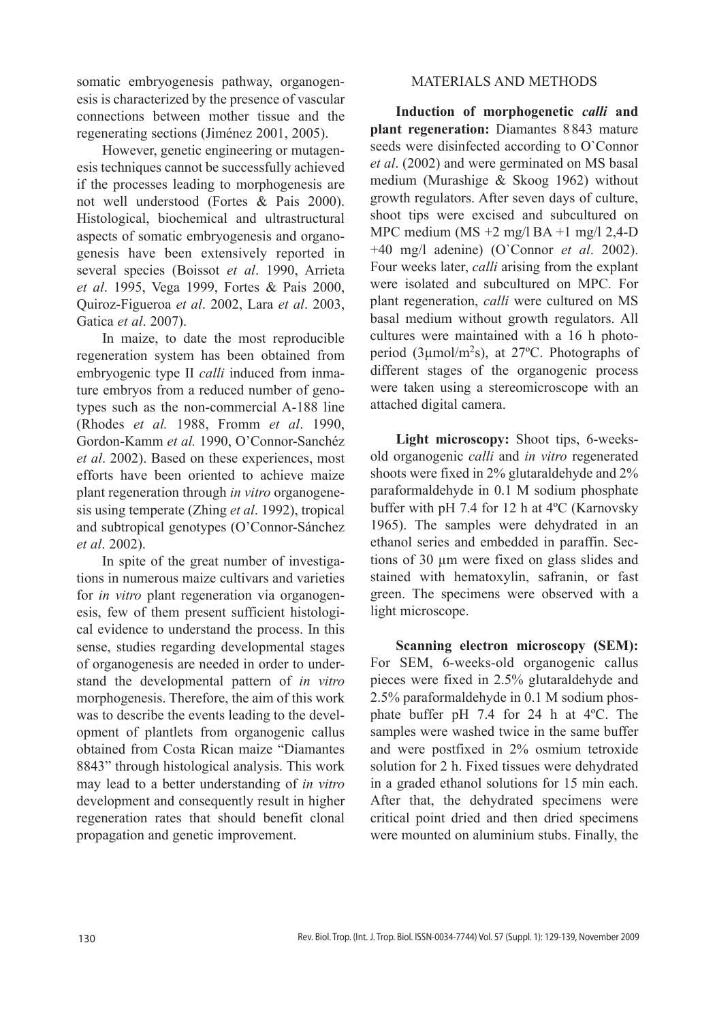somatic embryogenesis pathway, organogenesis is characterized by the presence of vascular connections between mother tissue and the regenerating sections (Jiménez 2001, 2005).

However, genetic engineering or mutagenesis techniques cannot be successfully achieved if the processes leading to morphogenesis are not well understood (Fortes & Pais 2000). Histological, biochemical and ultrastructural aspects of somatic embryogenesis and organogenesis have been extensively reported in several species (Boissot *et al*. 1990, Arrieta *et al*. 1995, Vega 1999, Fortes & Pais 2000, Quiroz-Figueroa *et al*. 2002, Lara *et al*. 2003, Gatica *et al*. 2007).

In maize, to date the most reproducible regeneration system has been obtained from embryogenic type II *calli* induced from inmature embryos from a reduced number of genotypes such as the non-commercial A-188 line (Rhodes *et al.* 1988, Fromm *et al*. 1990, Gordon-Kamm *et al.* 1990, O'Connor-Sanchéz *et al*. 2002). Based on these experiences, most efforts have been oriented to achieve maize plant regeneration through *in vitro* organogenesis using temperate (Zhing *et al*. 1992), tropical and subtropical genotypes (O'Connor-Sánchez *et al*. 2002).

In spite of the great number of investigations in numerous maize cultivars and varieties for *in vitro* plant regeneration via organogenesis, few of them present sufficient histological evidence to understand the process. In this sense, studies regarding developmental stages of organogenesis are needed in order to understand the developmental pattern of *in vitro* morphogenesis. Therefore, the aim of this work was to describe the events leading to the development of plantlets from organogenic callus obtained from Costa Rican maize "Diamantes 8843" through histological analysis. This work may lead to a better understanding of *in vitro*  development and consequently result in higher regeneration rates that should benefit clonal propagation and genetic improvement.

# MATERIALS AND METHODS

**Induction of morphogenetic** *calli* **and plant regeneration:** Diamantes 8 843 mature seeds were disinfected according to O`Connor *et al*. (2002) and were germinated on MS basal medium (Murashige & Skoog 1962) without growth regulators. After seven days of culture, shoot tips were excised and subcultured on MPC medium (MS +2 mg/l BA +1 mg/l 2,4-D +40 mg/l adenine) (O`Connor *et al*. 2002). Four weeks later, *calli* arising from the explant were isolated and subcultured on MPC. For plant regeneration, *calli* were cultured on MS basal medium without growth regulators. All cultures were maintained with a 16 h photoperiod (3µmol/m2s), at 27ºC. Photographs of different stages of the organogenic process were taken using a stereomicroscope with an attached digital camera.

**Light microscopy:** Shoot tips, 6-weeksold organogenic *calli* and *in vitro* regenerated shoots were fixed in 2% glutaraldehyde and 2% paraformaldehyde in 0.1 M sodium phosphate buffer with pH 7.4 for 12 h at 4ºC (Karnovsky 1965). The samples were dehydrated in an ethanol series and embedded in paraffin. Sections of 30 µm were fixed on glass slides and stained with hematoxylin, safranin, or fast green. The specimens were observed with a light microscope.

**Scanning electron microscopy (SEM):**  For SEM, 6-weeks-old organogenic callus pieces were fixed in 2.5% glutaraldehyde and 2.5% paraformaldehyde in 0.1 M sodium phosphate buffer pH 7.4 for 24 h at 4ºC. The samples were washed twice in the same buffer and were postfixed in 2% osmium tetroxide solution for 2 h. Fixed tissues were dehydrated in a graded ethanol solutions for 15 min each. After that, the dehydrated specimens were critical point dried and then dried specimens were mounted on aluminium stubs. Finally, the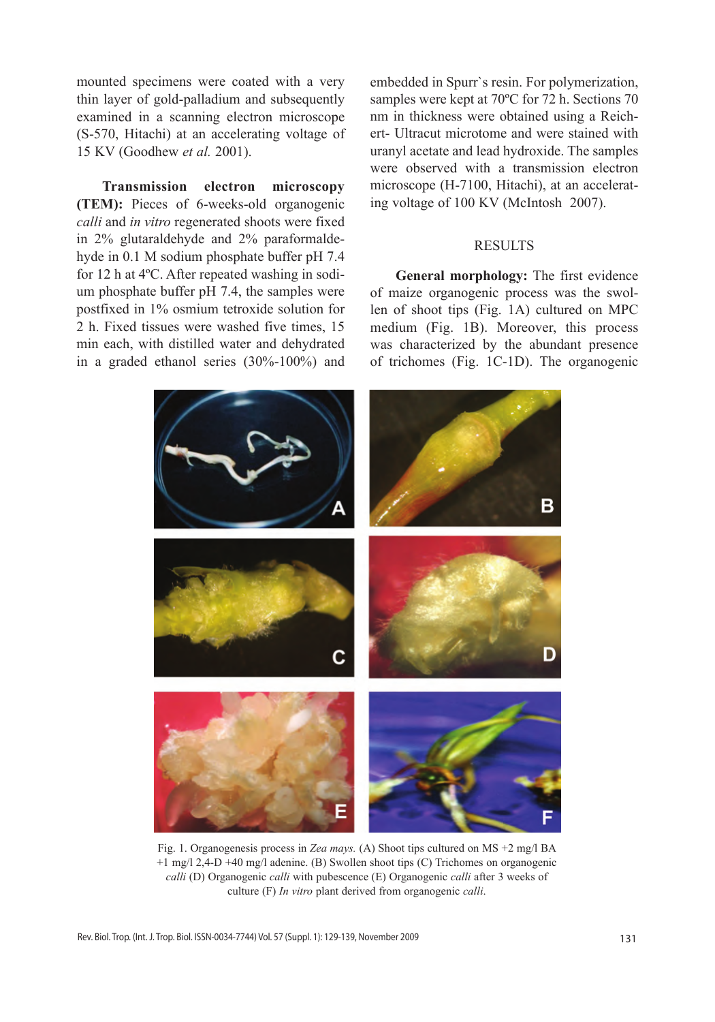mounted specimens were coated with a very thin layer of gold-palladium and subsequently examined in a scanning electron microscope (S-570, Hitachi) at an accelerating voltage of 15 KV (Goodhew *et al.* 2001).

**Transmission electron microscopy (TEM):** Pieces of 6-weeks-old organogenic *calli* and *in vitro* regenerated shoots were fixed in 2% glutaraldehyde and 2% paraformaldehyde in 0.1 M sodium phosphate buffer pH 7.4 for 12 h at 4ºC. After repeated washing in sodium phosphate buffer pH 7.4, the samples were postfixed in 1% osmium tetroxide solution for 2 h. Fixed tissues were washed five times, 15 min each, with distilled water and dehydrated in a graded ethanol series (30%-100%) and embedded in Spurr`s resin. For polymerization, samples were kept at 70ºC for 72 h. Sections 70 nm in thickness were obtained using a Reichert- Ultracut microtome and were stained with uranyl acetate and lead hydroxide. The samples were observed with a transmission electron microscope (H-7100, Hitachi), at an accelerating voltage of 100 KV (McIntosh 2007).

# RESULTS

**General morphology:** The first evidence of maize organogenic process was the swollen of shoot tips (Fig. 1A) cultured on MPC medium (Fig. 1B). Moreover, this process was characterized by the abundant presence of trichomes (Fig. 1C-1D). The organogenic



Fig. 1. Organogenesis process in *Zea mays.* (A) Shoot tips cultured on MS +2 mg/l BA +1 mg/l 2,4-D +40 mg/l adenine. (B) Swollen shoot tips (C) Trichomes on organogenic *calli* (D) Organogenic *calli* with pubescence (E) Organogenic *calli* after 3 weeks of culture (F) *In vitro* plant derived from organogenic *calli*.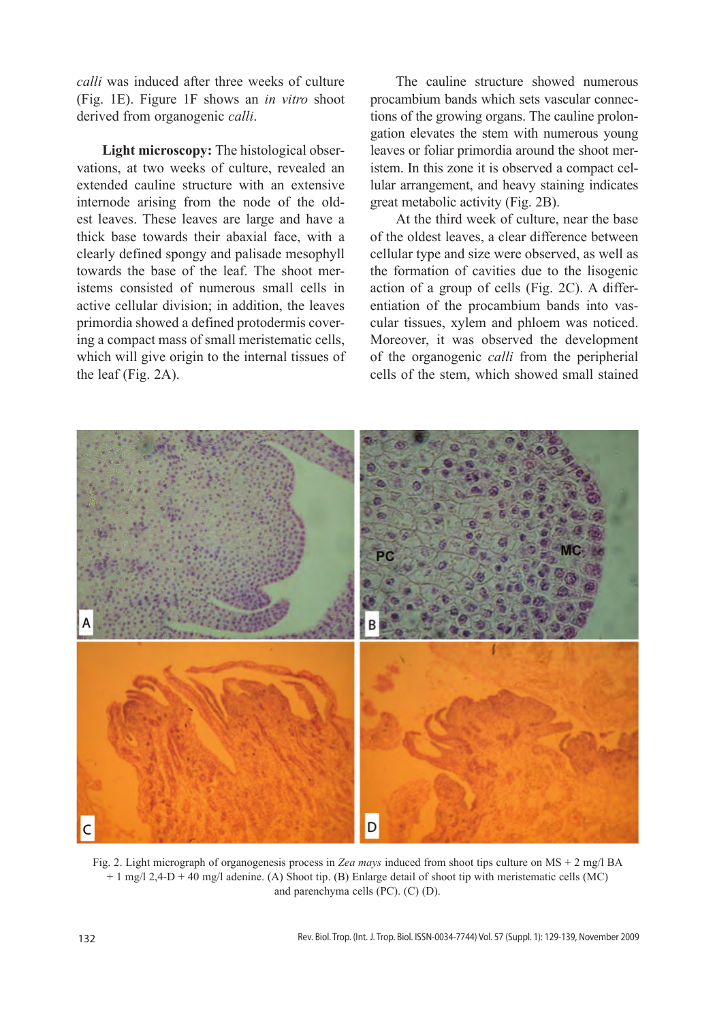*calli* was induced after three weeks of culture (Fig. 1E). Figure 1F shows an *in vitro* shoot derived from organogenic *calli*.

**Light microscopy:** The histological observations, at two weeks of culture, revealed an extended cauline structure with an extensive internode arising from the node of the oldest leaves. These leaves are large and have a thick base towards their abaxial face, with a clearly defined spongy and palisade mesophyll towards the base of the leaf. The shoot meristems consisted of numerous small cells in active cellular division; in addition, the leaves primordia showed a defined protodermis covering a compact mass of small meristematic cells, which will give origin to the internal tissues of the leaf (Fig. 2A).

The cauline structure showed numerous procambium bands which sets vascular connections of the growing organs. The cauline prolongation elevates the stem with numerous young leaves or foliar primordia around the shoot meristem. In this zone it is observed a compact cellular arrangement, and heavy staining indicates great metabolic activity (Fig. 2B).

At the third week of culture, near the base of the oldest leaves, a clear difference between cellular type and size were observed, as well as the formation of cavities due to the lisogenic action of a group of cells (Fig. 2C). A differentiation of the procambium bands into vascular tissues, xylem and phloem was noticed. Moreover, it was observed the development of the organogenic *calli* from the peripherial cells of the stem, which showed small stained



Fig. 2. Light micrograph of organogenesis process in *Zea mays* induced from shoot tips culture on MS + 2 mg/l BA + 1 mg/l 2,4-D + 40 mg/l adenine. (A) Shoot tip. (B) Enlarge detail of shoot tip with meristematic cells (MC) and parenchyma cells (PC). (C) (D).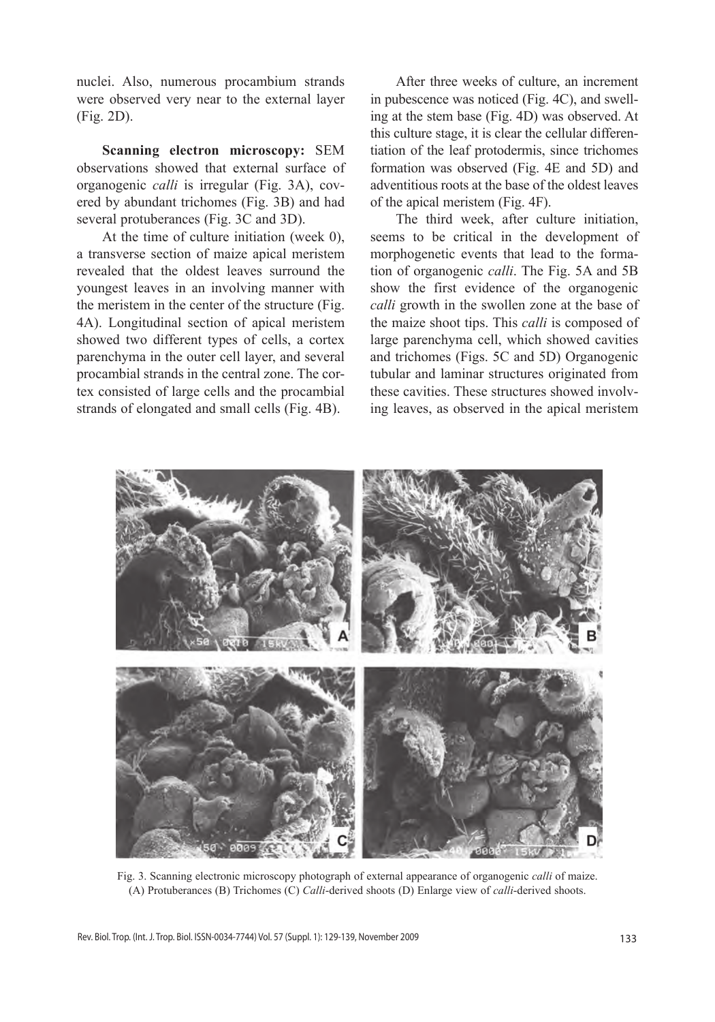nuclei. Also, numerous procambium strands were observed very near to the external layer (Fig. 2D).

**Scanning electron microscopy:** SEM observations showed that external surface of organogenic *calli* is irregular (Fig. 3A), covered by abundant trichomes (Fig. 3B) and had several protuberances (Fig. 3C and 3D).

At the time of culture initiation (week 0), a transverse section of maize apical meristem revealed that the oldest leaves surround the youngest leaves in an involving manner with the meristem in the center of the structure (Fig. 4A). Longitudinal section of apical meristem showed two different types of cells, a cortex parenchyma in the outer cell layer, and several procambial strands in the central zone. The cortex consisted of large cells and the procambial strands of elongated and small cells (Fig. 4B).

After three weeks of culture, an increment in pubescence was noticed (Fig. 4C), and swelling at the stem base (Fig. 4D) was observed. At this culture stage, it is clear the cellular differentiation of the leaf protodermis, since trichomes formation was observed (Fig. 4E and 5D) and adventitious roots at the base of the oldest leaves of the apical meristem (Fig. 4F).

The third week, after culture initiation, seems to be critical in the development of morphogenetic events that lead to the formation of organogenic *calli*. The Fig. 5A and 5B show the first evidence of the organogenic *calli* growth in the swollen zone at the base of the maize shoot tips. This *calli* is composed of large parenchyma cell, which showed cavities and trichomes (Figs. 5C and 5D) Organogenic tubular and laminar structures originated from these cavities. These structures showed involving leaves, as observed in the apical meristem



Fig. 3. Scanning electronic microscopy photograph of external appearance of organogenic *calli* of maize. (A) Protuberances (B) Trichomes (C) *Calli*-derived shoots (D) Enlarge view of *calli*-derived shoots.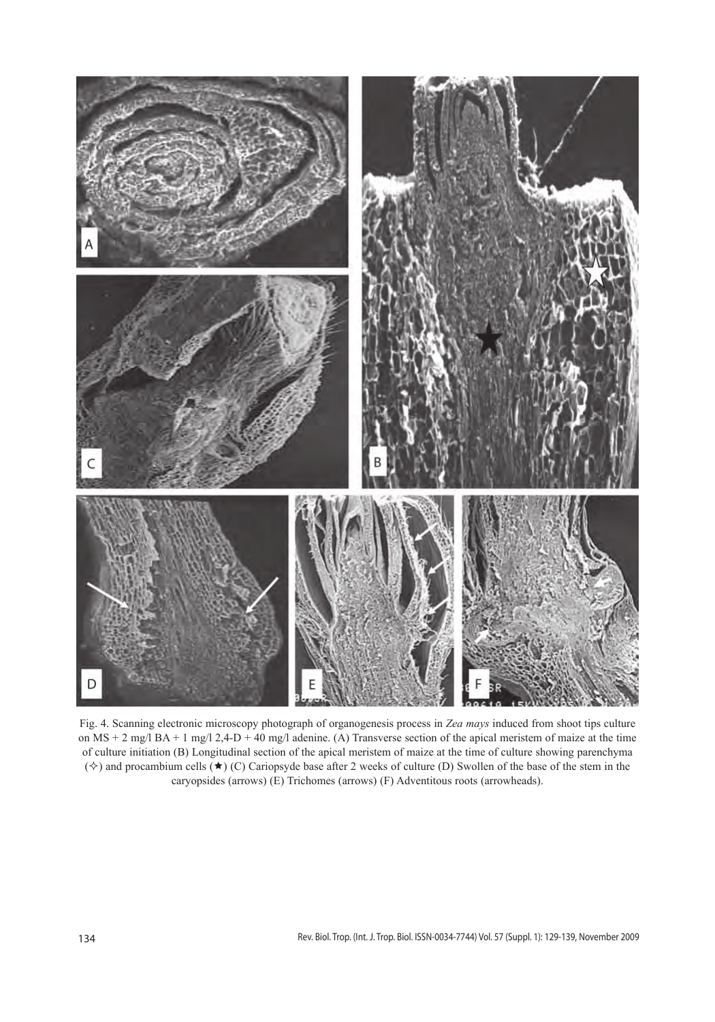

Fig. 4. Scanning electronic microscopy photograph of organogenesis process in *Zea mays* induced from shoot tips culture on MS + 2 mg/l BA + 1 mg/l 2,4-D + 40 mg/l adenine. (A) Transverse section of the apical meristem of maize at the time of culture initiation (B) Longitudinal section of the apical meristem of maize at the time of culture showing parenchyma  $(\diamondsuit)$  and procambium cells  $(\star)$  (C) Cariopsyde base after 2 weeks of culture (D) Swollen of the base of the stem in the caryopsides (arrows) (E) Trichomes (arrows) (F) Adventitous roots (arrowheads).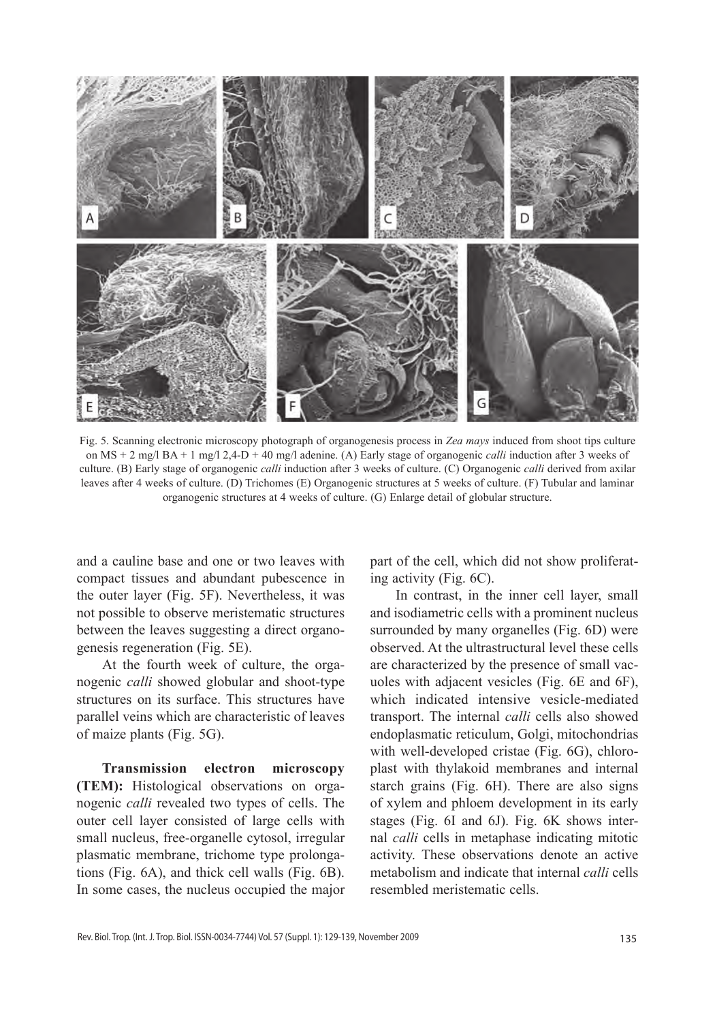

Fig. 5. Scanning electronic microscopy photograph of organogenesis process in *Zea mays* induced from shoot tips culture on MS + 2 mg/l BA + 1 mg/l 2,4-D + 40 mg/l adenine. (A) Early stage of organogenic *calli* induction after 3 weeks of culture. (B) Early stage of organogenic *calli* induction after 3 weeks of culture. (C) Organogenic *calli* derived from axilar leaves after 4 weeks of culture. (D) Trichomes (E) Organogenic structures at 5 weeks of culture. (F) Tubular and laminar organogenic structures at 4 weeks of culture. (G) Enlarge detail of globular structure.

and a cauline base and one or two leaves with compact tissues and abundant pubescence in the outer layer (Fig. 5F). Nevertheless, it was not possible to observe meristematic structures between the leaves suggesting a direct organogenesis regeneration (Fig. 5E).

At the fourth week of culture, the organogenic *calli* showed globular and shoot-type structures on its surface. This structures have parallel veins which are characteristic of leaves of maize plants (Fig. 5G).

**Transmission electron microscopy (TEM):** Histological observations on organogenic *calli* revealed two types of cells. The outer cell layer consisted of large cells with small nucleus, free-organelle cytosol, irregular plasmatic membrane, trichome type prolongations (Fig. 6A), and thick cell walls (Fig. 6B). In some cases, the nucleus occupied the major part of the cell, which did not show proliferating activity (Fig. 6C).

In contrast, in the inner cell layer, small and isodiametric cells with a prominent nucleus surrounded by many organelles (Fig. 6D) were observed. At the ultrastructural level these cells are characterized by the presence of small vacuoles with adjacent vesicles (Fig. 6E and 6F), which indicated intensive vesicle-mediated transport. The internal *calli* cells also showed endoplasmatic reticulum, Golgi, mitochondrias with well-developed cristae (Fig. 6G), chloroplast with thylakoid membranes and internal starch grains (Fig. 6H). There are also signs of xylem and phloem development in its early stages (Fig. 6I and 6J). Fig. 6K shows internal *calli* cells in metaphase indicating mitotic activity. These observations denote an active metabolism and indicate that internal *calli* cells resembled meristematic cells.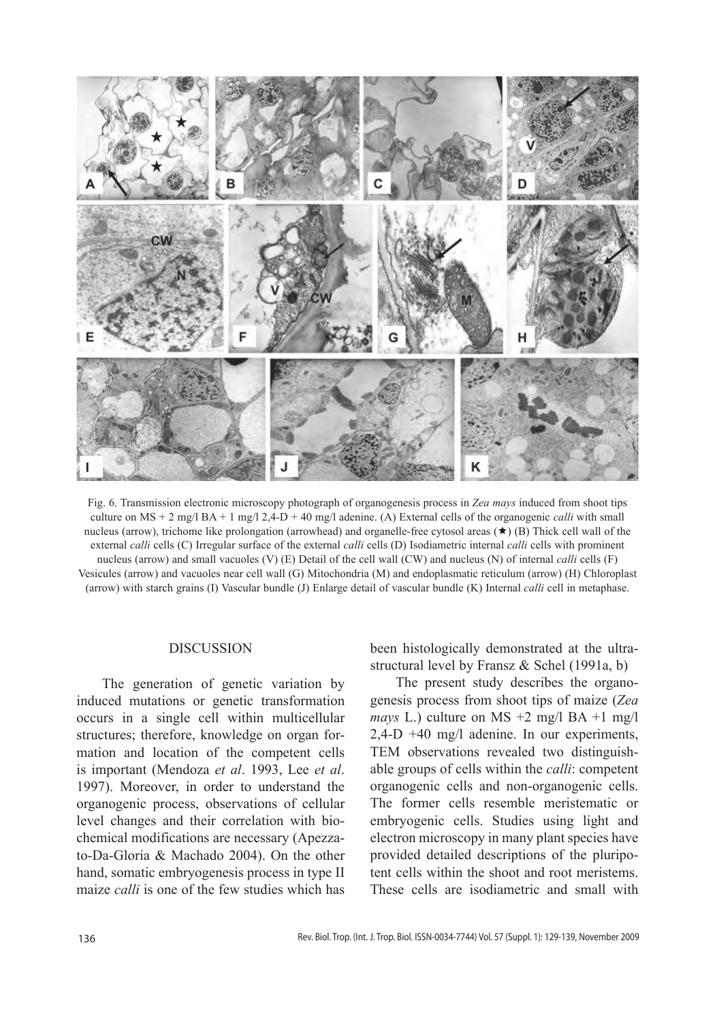

Fig. 6. Transmission electronic microscopy photograph of organogenesis process in *Zea mays* induced from shoot tips culture on MS + 2 mg/l BA + 1 mg/l 2,4-D + 40 mg/l adenine. (A) External cells of the organogenic *calli* with small nucleus (arrow), trichome like prolongation (arrowhead) and organelle-free cytosol areas  $(\star)$  (B) Thick cell wall of the external *calli* cells (C) Irregular surface of the external *calli* cells (D) Isodiametric internal *calli* cells with prominent nucleus (arrow) and small vacuoles (V) (E) Detail of the cell wall (CW) and nucleus (N) of internal *calli* cells (F) Vesicules (arrow) and vacuoles near cell wall (G) Mitochondria (M) and endoplasmatic reticulum (arrow) (H) Chloroplast (arrow) with starch grains (I) Vascular bundle (J) Enlarge detail of vascular bundle (K) Internal *calli* cell in metaphase.

### **DISCUSSION**

The generation of genetic variation by induced mutations or genetic transformation occurs in a single cell within multicellular structures; therefore, knowledge on organ formation and location of the competent cells is important (Mendoza *et al*. 1993, Lee *et al*. 1997). Moreover, in order to understand the organogenic process, observations of cellular level changes and their correlation with biochemical modifications are necessary (Apezzato-Da-Gloria & Machado 2004). On the other hand, somatic embryogenesis process in type II maize *calli* is one of the few studies which has

been histologically demonstrated at the ultrastructural level by Fransz & Schel (1991a, b)

The present study describes the organogenesis process from shoot tips of maize (*Zea mays* L.) culture on MS +2 mg/l BA +1 mg/l 2,4-D +40 mg/l adenine. In our experiments, TEM observations revealed two distinguishable groups of cells within the *calli*: competent organogenic cells and non-organogenic cells. The former cells resemble meristematic or embryogenic cells. Studies using light and electron microscopy in many plant species have provided detailed descriptions of the pluripotent cells within the shoot and root meristems. These cells are isodiametric and small with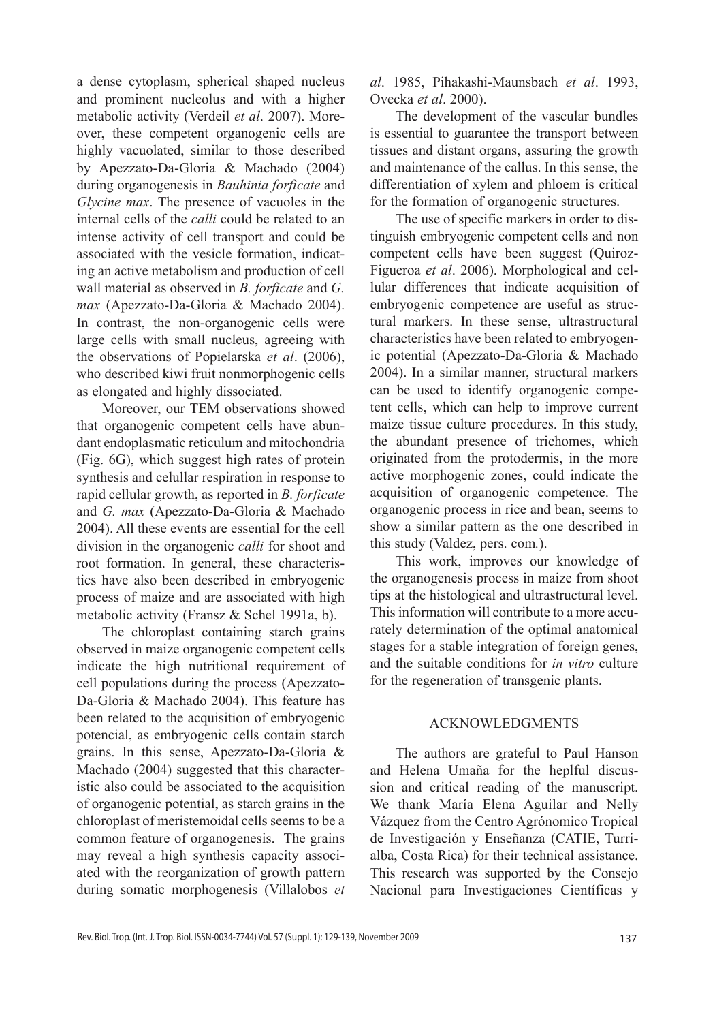a dense cytoplasm, spherical shaped nucleus and prominent nucleolus and with a higher metabolic activity (Verdeil *et al*. 2007). Moreover, these competent organogenic cells are highly vacuolated, similar to those described by Apezzato-Da-Gloria & Machado (2004) during organogenesis in *Bauhinia forficate* and *Glycine max*. The presence of vacuoles in the internal cells of the *calli* could be related to an intense activity of cell transport and could be associated with the vesicle formation, indicating an active metabolism and production of cell wall material as observed in *B. forficate* and *G. max* (Apezzato-Da-Gloria & Machado 2004). In contrast, the non-organogenic cells were large cells with small nucleus, agreeing with the observations of Popielarska *et al*. (2006), who described kiwi fruit nonmorphogenic cells as elongated and highly dissociated.

Moreover, our TEM observations showed that organogenic competent cells have abundant endoplasmatic reticulum and mitochondria (Fig. 6G), which suggest high rates of protein synthesis and celullar respiration in response to rapid cellular growth, as reported in *B. forficate* and *G. max* (Apezzato-Da-Gloria & Machado 2004). All these events are essential for the cell division in the organogenic *calli* for shoot and root formation. In general, these characteristics have also been described in embryogenic process of maize and are associated with high metabolic activity (Fransz & Schel 1991a, b).

The chloroplast containing starch grains observed in maize organogenic competent cells indicate the high nutritional requirement of cell populations during the process (Apezzato-Da-Gloria & Machado 2004). This feature has been related to the acquisition of embryogenic potencial, as embryogenic cells contain starch grains. In this sense, Apezzato-Da-Gloria & Machado (2004) suggested that this characteristic also could be associated to the acquisition of organogenic potential, as starch grains in the chloroplast of meristemoidal cells seems to be a common feature of organogenesis. The grains may reveal a high synthesis capacity associated with the reorganization of growth pattern during somatic morphogenesis (Villalobos *et* 

*al*. 1985, Pihakashi-Maunsbach *et al*. 1993, Ovecka *et al*. 2000).

The development of the vascular bundles is essential to guarantee the transport between tissues and distant organs, assuring the growth and maintenance of the callus. In this sense, the differentiation of xylem and phloem is critical for the formation of organogenic structures.

The use of specific markers in order to distinguish embryogenic competent cells and non competent cells have been suggest (Quiroz-Figueroa *et al*. 2006). Morphological and cellular differences that indicate acquisition of embryogenic competence are useful as structural markers. In these sense, ultrastructural characteristics have been related to embryogenic potential (Apezzato-Da-Gloria & Machado 2004). In a similar manner, structural markers can be used to identify organogenic competent cells, which can help to improve current maize tissue culture procedures. In this study, the abundant presence of trichomes, which originated from the protodermis, in the more active morphogenic zones, could indicate the acquisition of organogenic competence. The organogenic process in rice and bean, seems to show a similar pattern as the one described in this study (Valdez, pers. com*.*).

This work, improves our knowledge of the organogenesis process in maize from shoot tips at the histological and ultrastructural level. This information will contribute to a more accurately determination of the optimal anatomical stages for a stable integration of foreign genes, and the suitable conditions for *in vitro* culture for the regeneration of transgenic plants.

## ACKNOWLEDGMENTS

The authors are grateful to Paul Hanson and Helena Umaña for the heplful discussion and critical reading of the manuscript. We thank María Elena Aguilar and Nelly Vázquez from the Centro Agrónomico Tropical de Investigación y Enseñanza (CATIE, Turrialba, Costa Rica) for their technical assistance. This research was supported by the Consejo Nacional para Investigaciones Científicas y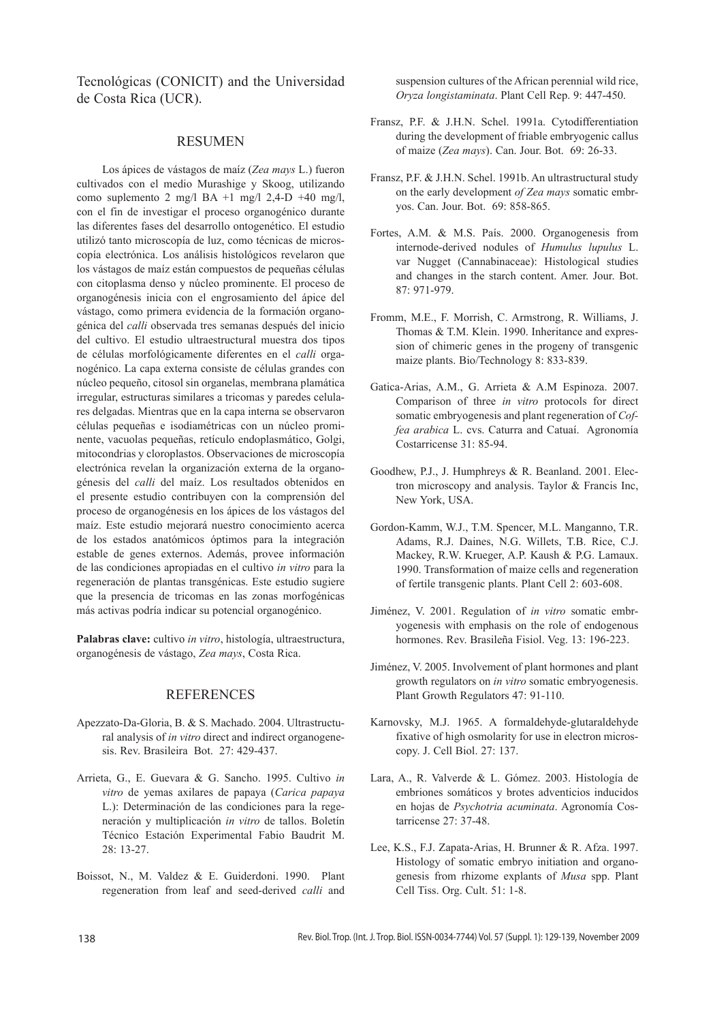Tecnológicas (CONICIT) and the Universidad de Costa Rica (UCR).

#### RESUMEN

Los ápices de vástagos de maíz (*Zea mays* L.) fueron cultivados con el medio Murashige y Skoog, utilizando como suplemento 2 mg/l BA +1 mg/l 2,4-D +40 mg/l, con el fin de investigar el proceso organogénico durante las diferentes fases del desarrollo ontogenético. El estudio utilizó tanto microscopía de luz, como técnicas de microscopía electrónica. Los análisis histológicos revelaron que los vástagos de maíz están compuestos de pequeñas células con citoplasma denso y núcleo prominente. El proceso de organogénesis inicia con el engrosamiento del ápice del vástago, como primera evidencia de la formación organogénica del *calli* observada tres semanas después del inicio del cultivo. El estudio ultraestructural muestra dos tipos de células morfológicamente diferentes en el *calli* organogénico. La capa externa consiste de células grandes con núcleo pequeño, citosol sin organelas, membrana plamática irregular, estructuras similares a tricomas y paredes celulares delgadas. Mientras que en la capa interna se observaron células pequeñas e isodiamétricas con un núcleo prominente, vacuolas pequeñas, retículo endoplasmático, Golgi, mitocondrias y cloroplastos. Observaciones de microscopía electrónica revelan la organización externa de la organogénesis del *calli* del maíz. Los resultados obtenidos en el presente estudio contribuyen con la comprensión del proceso de organogénesis en los ápices de los vástagos del maíz. Este estudio mejorará nuestro conocimiento acerca de los estados anatómicos óptimos para la integración estable de genes externos. Además, provee información de las condiciones apropiadas en el cultivo *in vitro* para la regeneración de plantas transgénicas. Este estudio sugiere que la presencia de tricomas en las zonas morfogénicas más activas podría indicar su potencial organogénico.

**Palabras clave:** cultivo *in vitro*, histología, ultraestructura, organogénesis de vástago, *Zea mays*, Costa Rica.

#### REFERENCES

- Apezzato-Da-Gloria, B. & S. Machado. 2004. Ultrastructural analysis of *in vitro* direct and indirect organogenesis. Rev. Brasileira Bot. 27: 429-437.
- Arrieta, G., E. Guevara & G. Sancho. 1995. Cultivo *in vitro* de yemas axilares de papaya (*Carica papaya* L.): Determinación de las condiciones para la regeneración y multiplicación *in vitro* de tallos. Boletín Técnico Estación Experimental Fabio Baudrit M. 28: 13-27.
- Boissot, N., M. Valdez & E. Guiderdoni. 1990. Plant regeneration from leaf and seed-derived *calli* and

suspension cultures of the African perennial wild rice, *Oryza longistaminata*. Plant Cell Rep. 9: 447-450.

- Fransz, P.F. & J.H.N. Schel. 1991a. Cytodifferentiation during the development of friable embryogenic callus of maize (*Zea mays*). Can. Jour. Bot. 69: 26-33.
- Fransz, P.F. & J.H.N. Schel. 1991b. An ultrastructural study on the early development *of Zea mays* somatic embryos. Can. Jour. Bot. 69: 858-865.
- Fortes, A.M. & M.S. País. 2000. Organogenesis from internode-derived nodules of *Humulus lupulus* L. var Nugget (Cannabinaceae): Histological studies and changes in the starch content. Amer. Jour. Bot. 87: 971-979.
- Fromm, M.E., F. Morrish, C. Armstrong, R. Williams, J. Thomas & T.M. Klein. 1990. Inheritance and expression of chimeric genes in the progeny of transgenic maize plants. Bio/Technology 8: 833-839.
- Gatica-Arias, A.M., G. Arrieta & A.M Espinoza. 2007. Comparison of three *in vitro* protocols for direct somatic embryogenesis and plant regeneration of *Coffea arabica* L. cvs. Caturra and Catuaí. Agronomía Costarricense 31: 85-94.
- Goodhew, P.J., J. Humphreys & R. Beanland. 2001. Electron microscopy and analysis. Taylor & Francis Inc, New York, USA.
- Gordon-Kamm, W.J., T.M. Spencer, M.L. Manganno, T.R. Adams, R.J. Daines, N.G. Willets, T.B. Rice, C.J. Mackey, R.W. Krueger, A.P. Kaush & P.G. Lamaux. 1990. Transformation of maize cells and regeneration of fertile transgenic plants. Plant Cell 2: 603-608.
- Jiménez, V. 2001. Regulation of *in vitro* somatic embryogenesis with emphasis on the role of endogenous hormones. Rev. Brasileña Fisiol. Veg. 13: 196-223.
- Jiménez, V. 2005. Involvement of plant hormones and plant growth regulators on *in vitro* somatic embryogenesis. Plant Growth Regulators 47: 91-110.
- Karnovsky, M.J. 1965. A formaldehyde-glutaraldehyde fixative of high osmolarity for use in electron microscopy. J. Cell Biol. 27: 137.
- Lara, A., R. Valverde & L. Gómez. 2003. Histología de embriones somáticos y brotes adventicios inducidos en hojas de *Psychotria acuminata*. Agronomía Costarricense 27: 37-48.
- Lee, K.S., F.J. Zapata-Arias, H. Brunner & R. Afza. 1997. Histology of somatic embryo initiation and organogenesis from rhizome explants of *Musa* spp. Plant Cell Tiss. Org. Cult. 51: 1-8.